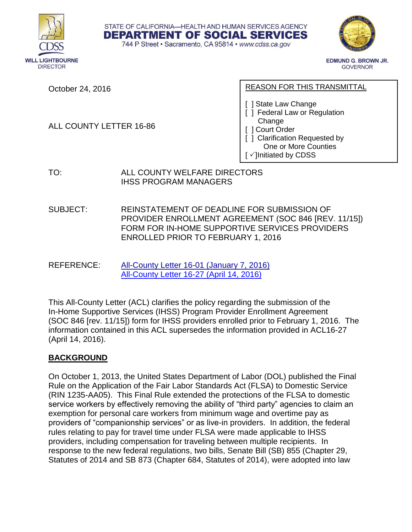



**EDMUND G. BROWN JR. GOVERNOR** 

October 24, 2016

ALL COUNTY LETTER 16-86

#### REASON FOR THIS TRANSMITTAL

- [ ] State Law Change
- [ ] Federal Law or Regulation Change
- [ ] Court Order
- [ ] Clarification Requested by One or More Counties
- $[\checkmark]$  Initiated by CDSS

TO: ALL COUNTY WELFARE DIRECTORS IHSS PROGRAM MANAGERS

SUBJECT: REINSTATEMENT OF DEADLINE FOR SUBMISSION OF PROVIDER ENROLLMENT AGREEMENT (SOC 846 [REV. 11/15]) FORM FOR IN-HOME SUPPORTIVE SERVICES PROVIDERS ENROLLED PRIOR TO FEBRUARY 1, 2016

STATE OF CALIFORNIA-HEALTH AND HUMAN SERVICES AGENCY DEPARTMENT OF SOCIAL SERVICES 744 P Street · Sacramento, CA 95814 · www.cdss.ca.gov

REFERENCE: [All-County Letter 16-01 \(January 7, 2016\)](https://www.cdss.ca.gov/lettersnotices/EntRes/getinfo/acl/2016/16-01.pdf) [All-County Letter 16-27 \(April 14, 2016\)](https://www.cdss.ca.gov/lettersnotices/EntRes/getinfo/acl/2016/16-27.pdf)

This All-County Letter (ACL) clarifies the policy regarding the submission of the In-Home Supportive Services (IHSS) Program Provider Enrollment Agreement (SOC 846 [rev. 11/15]) form for IHSS providers enrolled prior to February 1, 2016. The information contained in this ACL supersedes the information provided in ACL16-27 (April 14, 2016).

# **BACKGROUND**

On October 1, 2013, the United States Department of Labor (DOL) published the Final Rule on the Application of the Fair Labor Standards Act (FLSA) to Domestic Service (RIN 1235-AA05). This Final Rule extended the protections of the FLSA to domestic service workers by effectively removing the ability of "third party" agencies to claim an exemption for personal care workers from minimum wage and overtime pay as providers of "companionship services" or as live-in providers. In addition, the federal rules relating to pay for travel time under FLSA were made applicable to IHSS providers, including compensation for traveling between multiple recipients. In response to the new federal regulations, two bills, Senate Bill (SB) 855 (Chapter 29, Statutes of 2014 and SB 873 (Chapter 684, Statutes of 2014), were adopted into law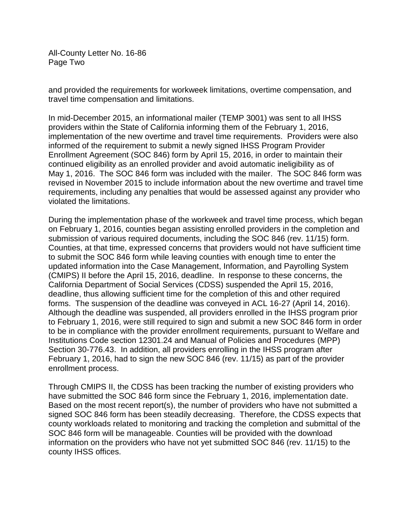All-County Letter No. 16-86 Page Two

and provided the requirements for workweek limitations, overtime compensation, and travel time compensation and limitations.

In mid-December 2015, an informational mailer (TEMP 3001) was sent to all IHSS providers within the State of California informing them of the February 1, 2016, implementation of the new overtime and travel time requirements. Providers were also informed of the requirement to submit a newly signed IHSS Program Provider Enrollment Agreement (SOC 846) form by April 15, 2016, in order to maintain their continued eligibility as an enrolled provider and avoid automatic ineligibility as of May 1, 2016. The SOC 846 form was included with the mailer. The SOC 846 form was revised in November 2015 to include information about the new overtime and travel time requirements, including any penalties that would be assessed against any provider who violated the limitations.

During the implementation phase of the workweek and travel time process, which began on February 1, 2016, counties began assisting enrolled providers in the completion and submission of various required documents, including the SOC 846 (rev. 11/15) form. Counties, at that time, expressed concerns that providers would not have sufficient time to submit the SOC 846 form while leaving counties with enough time to enter the updated information into the Case Management, Information, and Payrolling System (CMIPS) II before the April 15, 2016, deadline. In response to these concerns, the California Department of Social Services (CDSS) suspended the April 15, 2016, deadline, thus allowing sufficient time for the completion of this and other required forms. The suspension of the deadline was conveyed in ACL 16-27 (April 14, 2016). Although the deadline was suspended, all providers enrolled in the IHSS program prior to February 1, 2016, were still required to sign and submit a new SOC 846 form in order to be in compliance with the provider enrollment requirements, pursuant to Welfare and Institutions Code section 12301.24 and Manual of Policies and Procedures (MPP) Section 30-776.43. In addition, all providers enrolling in the IHSS program after February 1, 2016, had to sign the new SOC 846 (rev. 11/15) as part of the provider enrollment process.

Through CMIPS II, the CDSS has been tracking the number of existing providers who have submitted the SOC 846 form since the February 1, 2016, implementation date. Based on the most recent report(s), the number of providers who have not submitted a signed SOC 846 form has been steadily decreasing. Therefore, the CDSS expects that county workloads related to monitoring and tracking the completion and submittal of the SOC 846 form will be manageable. Counties will be provided with the download information on the providers who have not yet submitted SOC 846 (rev. 11/15) to the county IHSS offices.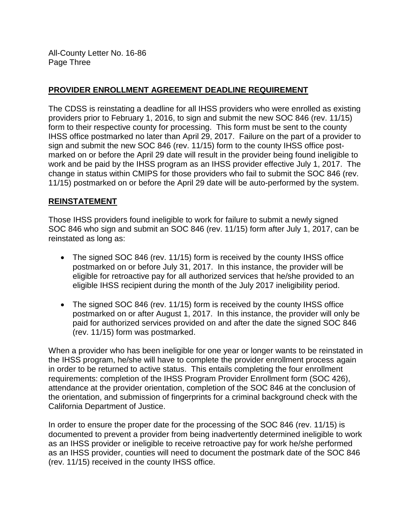All-County Letter No. 16-86 Page Three

# **PROVIDER ENROLLMENT AGREEMENT DEADLINE REQUIREMENT**

The CDSS is reinstating a deadline for all IHSS providers who were enrolled as existing providers prior to February 1, 2016, to sign and submit the new SOC 846 (rev. 11/15) form to their respective county for processing. This form must be sent to the county IHSS office postmarked no later than April 29, 2017. Failure on the part of a provider to sign and submit the new SOC 846 (rev. 11/15) form to the county IHSS office postmarked on or before the April 29 date will result in the provider being found ineligible to work and be paid by the IHSS program as an IHSS provider effective July 1, 2017. The change in status within CMIPS for those providers who fail to submit the SOC 846 (rev. 11/15) postmarked on or before the April 29 date will be auto-performed by the system.

### **REINSTATEMENT**

Those IHSS providers found ineligible to work for failure to submit a newly signed SOC 846 who sign and submit an SOC 846 (rev. 11/15) form after July 1, 2017, can be reinstated as long as:

- The signed SOC 846 (rev. 11/15) form is received by the county IHSS office postmarked on or before July 31, 2017. In this instance, the provider will be eligible for retroactive pay for all authorized services that he/she provided to an eligible IHSS recipient during the month of the July 2017 ineligibility period.
- The signed SOC 846 (rev. 11/15) form is received by the county IHSS office postmarked on or after August 1, 2017. In this instance, the provider will only be paid for authorized services provided on and after the date the signed SOC 846 (rev. 11/15) form was postmarked.

When a provider who has been ineligible for one year or longer wants to be reinstated in the IHSS program, he/she will have to complete the provider enrollment process again in order to be returned to active status. This entails completing the four enrollment requirements: completion of the IHSS Program Provider Enrollment form (SOC 426), attendance at the provider orientation, completion of the SOC 846 at the conclusion of the orientation, and submission of fingerprints for a criminal background check with the California Department of Justice.

In order to ensure the proper date for the processing of the SOC 846 (rev. 11/15) is documented to prevent a provider from being inadvertently determined ineligible to work as an IHSS provider or ineligible to receive retroactive pay for work he/she performed as an IHSS provider, counties will need to document the postmark date of the SOC 846 (rev. 11/15) received in the county IHSS office.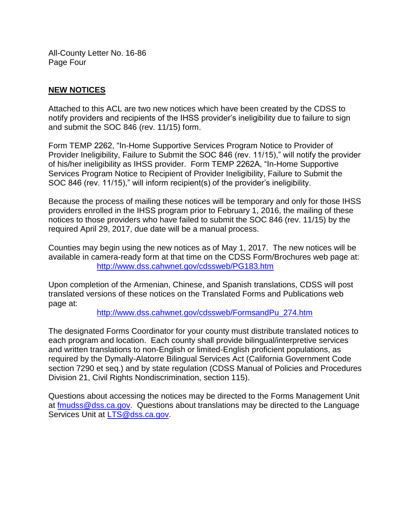All-County Letter No. 16-86 Page Four

# **NEW NOTICES**

Attached to this ACL are two new notices which have been created by the CDSS to notify providers and recipients of the IHSS provider's ineligibility due to failure to sign and submit the SOC 846 (rev. 11/15) form.

Form TEMP 2262, "In-Home Supportive Services Program Notice to Provider of Provider Ineligibility, Failure to Submit the SOC 846 (rev. 11/15)," will notify the provider of his/her ineligibility as IHSS provider. Form TEMP 2262A, "In-Home Supportive Services Program Notice to Recipient of Provider Ineligibility, Failure to Submit the SOC 846 (rev. 11/15)," will inform recipient(s) of the provider's ineligibility.

Because the process of mailing these notices will be temporary and only for those IHSS providers enrolled in the IHSS program prior to February 1, 2016, the mailing of these notices to those providers who have failed to submit the SOC 846 (rev. 11/15) by the required April 29, 2017, due date will be a manual process.

Counties may begin using the new notices as of May 1, 2017. The new notices will be available in camera-ready form at that time on the CDSS Form/Brochures web page at: [http://www.dss.cahwnet.gov/cdssweb/PG183.htm](https://www.cdss.ca.gov/inforesources/forms-brochures)

Upon completion of the Armenian, Chinese, and Spanish translations, CDSS will post translated versions of these notices on the Translated Forms and Publications web page at:

[http://www.dss.cahwnet.gov/cdssweb/FormsandPu\\_274.htm](https://www.cdss.ca.gov/inforesources/translated-forms-and-publications)

The designated Forms Coordinator for your county must distribute translated notices to each program and location. Each county shall provide bilingual/interpretive services and written translations to non-English or limited-English proficient populations, as required by the Dymally-Alatorre Bilingual Services Act (California Government Code section 7290 et seq.) and by state regulation (CDSS Manual of Policies and Procedures Division 21, Civil Rights Nondiscrimination, section 115).

Questions about accessing the notices may be directed to the Forms Management Unit at [fmudss@dss.ca.gov.](fmudss@dss.ca.gov) Questions about translations may be directed to the Language Services Unit at [LTS@dss.ca.gov.](LTS@dss.ca.gov)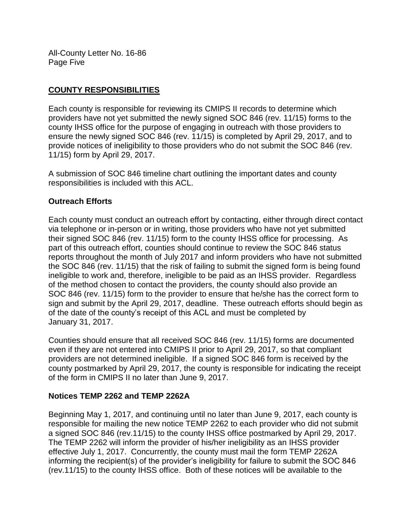All-County Letter No. 16-86 Page Five

# **COUNTY RESPONSIBILITIES**

Each county is responsible for reviewing its CMIPS II records to determine which providers have not yet submitted the newly signed SOC 846 (rev. 11/15) forms to the county IHSS office for the purpose of engaging in outreach with those providers to ensure the newly signed SOC 846 (rev. 11/15) is completed by April 29, 2017, and to provide notices of ineligibility to those providers who do not submit the SOC 846 (rev. 11/15) form by April 29, 2017.

A submission of SOC 846 timeline chart outlining the important dates and county responsibilities is included with this ACL.

### **Outreach Efforts**

Each county must conduct an outreach effort by contacting, either through direct contact via telephone or in-person or in writing, those providers who have not yet submitted their signed SOC 846 (rev. 11/15) form to the county IHSS office for processing. As part of this outreach effort, counties should continue to review the SOC 846 status reports throughout the month of July 2017 and inform providers who have not submitted the SOC 846 (rev. 11/15) that the risk of failing to submit the signed form is being found ineligible to work and, therefore, ineligible to be paid as an IHSS provider. Regardless of the method chosen to contact the providers, the county should also provide an SOC 846 (rev. 11/15) form to the provider to ensure that he/she has the correct form to sign and submit by the April 29, 2017, deadline. These outreach efforts should begin as of the date of the county's receipt of this ACL and must be completed by January 31, 2017.

Counties should ensure that all received SOC 846 (rev. 11/15) forms are documented even if they are not entered into CMIPS II prior to April 29, 2017, so that compliant providers are not determined ineligible. If a signed SOC 846 form is received by the county postmarked by April 29, 2017, the county is responsible for indicating the receipt of the form in CMIPS II no later than June 9, 2017.

#### **Notices TEMP 2262 and TEMP 2262A**

Beginning May 1, 2017, and continuing until no later than June 9, 2017, each county is responsible for mailing the new notice TEMP 2262 to each provider who did not submit a signed SOC 846 (rev.11/15) to the county IHSS office postmarked by April 29, 2017. The TEMP 2262 will inform the provider of his/her ineligibility as an IHSS provider effective July 1, 2017. Concurrently, the county must mail the form TEMP 2262A informing the recipient(s) of the provider's ineligibility for failure to submit the SOC 846 (rev.11/15) to the county IHSS office. Both of these notices will be available to the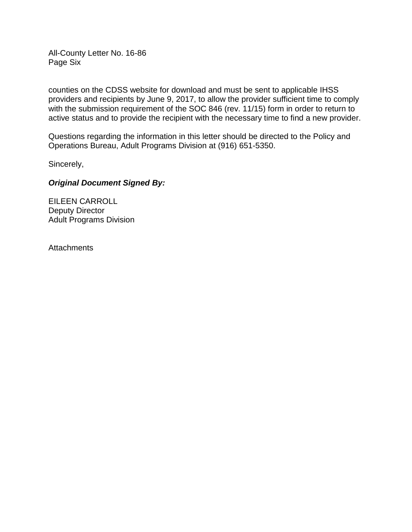All-County Letter No. 16-86 Page Six

counties on the CDSS website for download and must be sent to applicable IHSS providers and recipients by June 9, 2017, to allow the provider sufficient time to comply with the submission requirement of the SOC 846 (rev. 11/15) form in order to return to active status and to provide the recipient with the necessary time to find a new provider.

Questions regarding the information in this letter should be directed to the Policy and Operations Bureau, Adult Programs Division at (916) 651-5350.

Sincerely,

#### *Original Document Signed By:*

EILEEN CARROLL Deputy Director Adult Programs Division

**Attachments**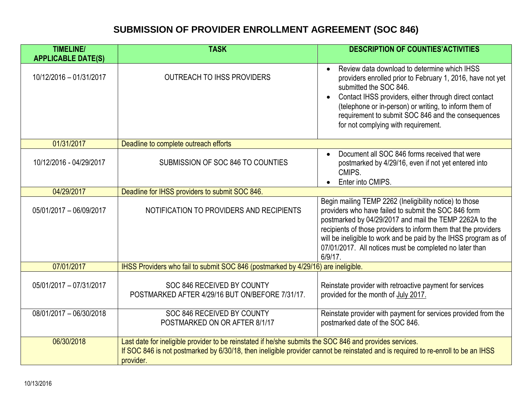# **SUBMISSION OF PROVIDER ENROLLMENT AGREEMENT (SOC 846)**

| <b>TIMELINE/</b>          | <b>TASK</b>                                                                                                                                                                                                                                               | <b>DESCRIPTION OF COUNTIES' ACTIVITIES</b>                                                                                                                                                                                                                                                                                                                                                 |
|---------------------------|-----------------------------------------------------------------------------------------------------------------------------------------------------------------------------------------------------------------------------------------------------------|--------------------------------------------------------------------------------------------------------------------------------------------------------------------------------------------------------------------------------------------------------------------------------------------------------------------------------------------------------------------------------------------|
| <b>APPLICABLE DATE(S)</b> |                                                                                                                                                                                                                                                           |                                                                                                                                                                                                                                                                                                                                                                                            |
| 10/12/2016 - 01/31/2017   | <b>OUTREACH TO IHSS PROVIDERS</b>                                                                                                                                                                                                                         | Review data download to determine which IHSS<br>providers enrolled prior to February 1, 2016, have not yet<br>submitted the SOC 846.<br>Contact IHSS providers, either through direct contact<br>(telephone or in-person) or writing, to inform them of<br>requirement to submit SOC 846 and the consequences<br>for not complying with requirement.                                       |
| 01/31/2017                | Deadline to complete outreach efforts                                                                                                                                                                                                                     |                                                                                                                                                                                                                                                                                                                                                                                            |
| 10/12/2016 - 04/29/2017   | SUBMISSION OF SOC 846 TO COUNTIES                                                                                                                                                                                                                         | Document all SOC 846 forms received that were<br>postmarked by 4/29/16, even if not yet entered into<br>CMIPS.<br>Enter into CMIPS.                                                                                                                                                                                                                                                        |
| 04/29/2017                | Deadline for IHSS providers to submit SOC 846.                                                                                                                                                                                                            |                                                                                                                                                                                                                                                                                                                                                                                            |
| 05/01/2017 - 06/09/2017   | NOTIFICATION TO PROVIDERS AND RECIPIENTS                                                                                                                                                                                                                  | Begin mailing TEMP 2262 (Ineligibility notice) to those<br>providers who have failed to submit the SOC 846 form<br>postmarked by 04/29/2017 and mail the TEMP 2262A to the<br>recipients of those providers to inform them that the providers<br>will be ineligible to work and be paid by the IHSS program as of<br>07/01/2017. All notices must be completed no later than<br>$6/9/17$ . |
| 07/01/2017                | IHSS Providers who fail to submit SOC 846 (postmarked by 4/29/16) are ineligible.                                                                                                                                                                         |                                                                                                                                                                                                                                                                                                                                                                                            |
| 05/01/2017 - 07/31/2017   | SOC 846 RECEIVED BY COUNTY<br>POSTMARKED AFTER 4/29/16 BUT ON/BEFORE 7/31/17.                                                                                                                                                                             | Reinstate provider with retroactive payment for services<br>provided for the month of July 2017.                                                                                                                                                                                                                                                                                           |
| 08/01/2017 - 06/30/2018   | SOC 846 RECEIVED BY COUNTY<br>POSTMARKED ON OR AFTER 8/1/17                                                                                                                                                                                               | Reinstate provider with payment for services provided from the<br>postmarked date of the SOC 846.                                                                                                                                                                                                                                                                                          |
| 06/30/2018                | Last date for ineligible provider to be reinstated if he/she submits the SOC 846 and provides services.<br>If SOC 846 is not postmarked by 6/30/18, then ineligible provider cannot be reinstated and is required to re-enroll to be an IHSS<br>provider. |                                                                                                                                                                                                                                                                                                                                                                                            |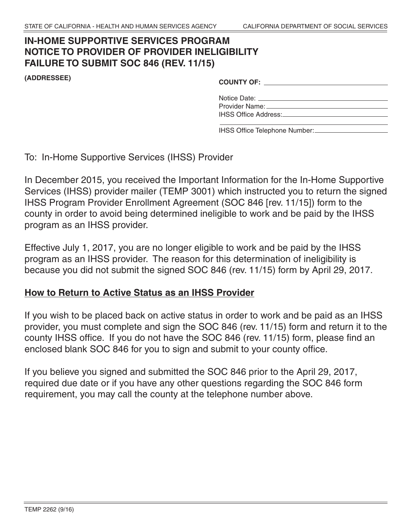# **NOTICE TO PROVIDER OF PROVIDER INELIGIBILITY FAILURE TO SUBMIT SOC 846 (REV. 11/15) IN-HOME SUPPORTIVE SERVICES PROGRAM**

**(ADDRESSEE) COUNTY OF:**

| <b>COUNTY OF:</b>           |  |
|-----------------------------|--|
| Notice Date:                |  |
| Provider Name:              |  |
| <b>IHSS Office Address:</b> |  |

IHSS Office Telephone Number:

To: In-Home Supportive Services (IHSS) Provider

 In December 2015, you received the Important Information for the In-Home Supportive Services (IHSS) provider mailer (TEMP 3001) which instructed you to return the signed IHSS Program Provider Enrollment Agreement (SOC 846 [rev. 11/15]) form to the county in order to avoid being determined ineligible to work and be paid by the IHSS program as an IHSS provider.

 Effective July 1, 2017, you are no longer eligible to work and be paid by the IHSS program as an IHSS provider. The reason for this determination of ineligibility is because you did not submit the signed SOC 846 (rev. 11/15) form by April 29, 2017.

# **How to Return to Active Status as an IHSS Provider**

 If you wish to be placed back on active status in order to work and be paid as an IHSS provider, you must complete and sign the SOC 846 (rev. 11/15) form and return it to the county IHSS office. If you do not have the SOC 846 (rev. 11/15) form, please find an enclosed blank SOC 846 for you to sign and submit to your county office.

 If you believe you signed and submitted the SOC 846 prior to the April 29, 2017, required due date or if you have any other questions regarding the SOC 846 form requirement, you may call the county at the telephone number above.